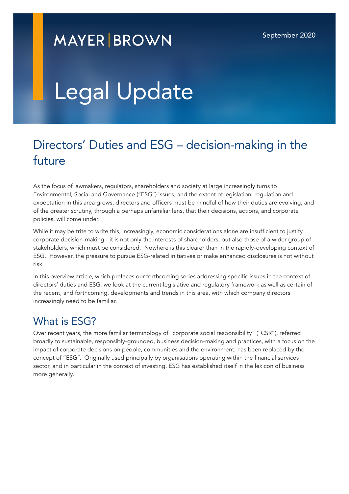# **MAYER BROWN**

# Legal Update

## Directors' Duties and ESG – decision-making in the future

As the focus of lawmakers, regulators, shareholders and society at large increasingly turns to Environmental, Social and Governance ("ESG") issues, and the extent of legislation, regulation and expectation in this area grows, directors and officers must be mindful of how their duties are evolving, and of the greater scrutiny, through a perhaps unfamiliar lens, that their decisions, actions, and corporate policies, will come under.

While it may be trite to write this, increasingly, economic considerations alone are insufficient to justify corporate decision-making - it is not only the interests of shareholders, but also those of a wider group of stakeholders, which must be considered. Nowhere is this clearer than in the rapidly-developing context of ESG. However, the pressure to pursue ESG-related initiatives or make enhanced disclosures is not without risk.

In this overview article, which prefaces our forthcoming series addressing specific issues in the context of directors' duties and ESG, we look at the current legislative and regulatory framework as well as certain of the recent, and forthcoming, developments and trends in this area, with which company directors increasingly need to be familiar.

#### What is **FSG?**

Over recent years, the more familiar terminology of "corporate social responsibility" ("CSR"), referred broadly to sustainable, responsibly-grounded, business decision-making and practices, with a focus on the impact of corporate decisions on people, communities and the environment, has been replaced by the concept of "ESG". Originally used principally by organisations operating within the financial services sector, and in particular in the context of investing, ESG has established itself in the lexicon of business more generally.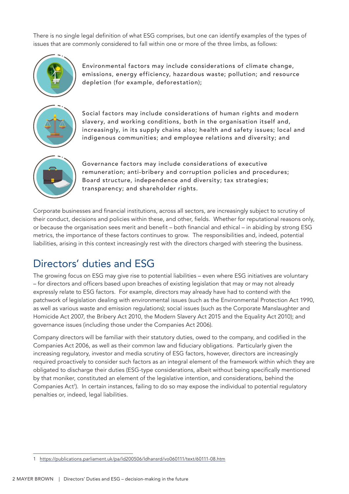There is no single legal definition of what ESG comprises, but one can identify examples of the types of issues that are commonly considered to fall within one or more of the three limbs, as follows:



Environmental factors may include considerations of climate change, emissions, energy efficiency, hazardous waste; pollution; and resource depletion (for example, deforestation);



Social factors may include considerations of human rights and modern slavery, and working conditions, both in the organisation itself and, increasingly, in its supply chains also; health and safety issues; local and indigenous communities; and employee relations and diversity; and



Governance factors may include considerations of executive remuneration; anti-bribery and corruption policies and procedures; Board structure, independence and diversity; tax strategies; transparency; and shareholder rights.

Corporate businesses and financial institutions, across all sectors, are increasingly subject to scrutiny of their conduct, decisions and policies within these, and other, fields. Whether for reputational reasons only, or because the organisation sees merit and benefit – both financial and ethical – in abiding by strong ESG metrics, the importance of these factors continues to grow. The responsibilities and, indeed, potential liabilities, arising in this context increasingly rest with the directors charged with steering the business.

## Directors' duties and ESG

The growing focus on ESG may give rise to potential liabilities – even where ESG initiatives are voluntary – for directors and officers based upon breaches of existing legislation that may or may not already expressly relate to ESG factors. For example, directors may already have had to contend with the patchwork of legislation dealing with environmental issues (such as the Environmental Protection Act 1990, as well as various waste and emission regulations); social issues (such as the Corporate Manslaughter and Homicide Act 2007, the Bribery Act 2010, the Modern Slavery Act 2015 and the Equality Act 2010); and governance issues (including those under the Companies Act 2006).

Company directors will be familiar with their statutory duties, owed to the company, and codified in the Companies Act 2006, as well as their common law and fiduciary obligations. Particularly given the increasing regulatory, investor and media scrutiny of ESG factors, however, directors are increasingly required proactively to consider such factors as an integral element of the framework within which they are obligated to discharge their duties (ESG-type considerations, albeit without being specifically mentioned by that moniker, constituted an element of the legislative intention, and considerations, behind the Companies Act'). In certain instances, failing to do so may expose the individual to potential regulatory penalties or, indeed, legal liabilities.

<sup>1</sup> <https://publications.parliament.uk/pa/ld200506/ldhansrd/vo060111/text/60111-08.htm>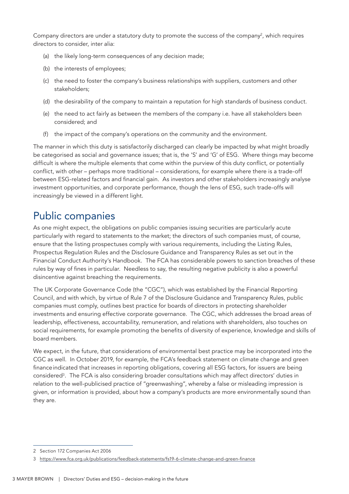Company directors are under a statutory duty to promote the success of the company<sup>2</sup>, which requires directors to consider, inter alia:

- (a) the likely long-term consequences of any decision made;
- (b) the interests of employees;
- (c) the need to foster the company's business relationships with suppliers, customers and other stakeholders;
- (d) the desirability of the company to maintain a reputation for high standards of business conduct.
- (e) the need to act fairly as between the members of the company i.e. have all stakeholders been considered; and
- (f) the impact of the company's operations on the community and the environment.

The manner in which this duty is satisfactorily discharged can clearly be impacted by what might broadly be categorised as social and governance issues; that is, the 'S' and 'G' of ESG. Where things may become difficult is where the multiple elements that come within the purview of this duty conflict, or potentially conflict, with other – perhaps more traditional – considerations, for example where there is a trade-off between ESG-related factors and financial gain. As investors and other stakeholders increasingly analyse investment opportunities, and corporate performance, though the lens of ESG, such trade-offs will increasingly be viewed in a different light.

### Public companies

As one might expect, the obligations on public companies issuing securities are particularly acute particularly with regard to statements to the market; the directors of such companies must, of course, ensure that the listing prospectuses comply with various requirements, including the Listing Rules, Prospectus Regulation Rules and the Disclosure Guidance and Transparency Rules as set out in the Financial Conduct Authority's Handbook. The FCA has considerable powers to sanction breaches of these rules by way of fines in particular. Needless to say, the resulting negative publicity is also a powerful disincentive against breaching the requirements.

The UK Corporate Governance Code (the "CGC"), which was established by the Financial Reporting Council, and with which, by virtue of Rule 7 of the Disclosure Guidance and Transparency Rules, public companies must comply, outlines best practice for boards of directors in protecting shareholder investments and ensuring effective corporate governance. The CGC, which addresses the broad areas of leadership, effectiveness, accountability, remuneration, and relations with shareholders, also touches on social requirements, for example promoting the benefits of diversity of experience, knowledge and skills of board members.

We expect, in the future, that considerations of environmental best practice may be incorporated into the CGC as well. In October 2019, for example, the FCA's feedback statement on climate change and green financeindicated that increases in reporting obligations, covering all ESG factors, for issuers are being considered3 . The FCA is also considering broader consultations which may affect directors' duties in relation to the well-publicised practice of "greenwashing", whereby a false or misleading impression is given, or information is provided, about how a company's products are more environmentally sound than they are.

<sup>2</sup> Section 172 Companies Act 2006

<sup>3</sup> <https://www.fca.org.uk/publications/feedback-statements/fs19-6-climate-change-and-green-finance>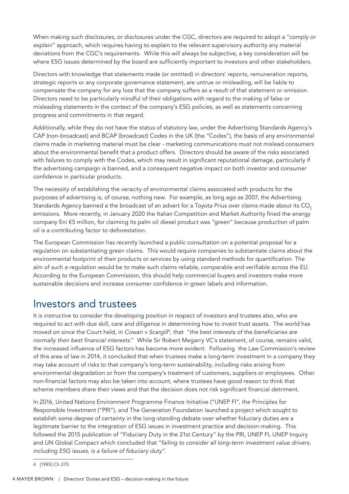When making such disclosures, or disclosures under the CGC, directors are required to adopt a "*comply or explain*" approach, which requires having to explain to the relevant supervisory authority any material deviations from the CGC's requirements. While this will always be subjective, a key consideration will be where ESG issues determined by the board are sufficiently important to investors and other stakeholders.

Directors with knowledge that statements made (or omitted) in directors' reports, remuneration reports, strategic reports or any corporate governance statement, are untrue or misleading, will be liable to compensate the company for any loss that the company suffers as a result of that statement or omission. Directors need to be particularly mindful of their obligations with regard to the making of false or misleading statements in the context of the company's ESG policies, as well as statements concerning progress and commitments in that regard.

Additionally, while they do not have the status of statutory law, under the Advertising Standards Agency's CAP (non-broadcast) and BCAP (broadcast) Codes in the UK (the "Codes"), the basis of any environmental claims made in marketing material must be clear - marketing communications must not mislead consumers about the environmental benefit that a product offers. Directors should be aware of the risks associated with failures to comply with the Codes, which may result in significant reputational damage, particularly if the advertising campaign is banned, and a consequent negative impact on both investor and consumer confidence in particular products.

The necessity of establishing the veracity of environmental claims associated with products for the purposes of advertising is, of course, nothing new. For example, as long ago as 2007, the Advertising Standards Agency banned a the broadcast of an advert for a Toyota Prius over claims made about its CO<sub>2</sub> emissions. More recently, in January 2020 the Italian Competition and Market Authority fined the energy company Eni €5 million, for claiming its palm oil diesel product was "green" because production of palm oil is a contributing factor to deforestation.

The European Commission has recently launched a public consultation on a potential proposal for a regulation on substantiating green claims. This would require companies to substantiate claims about the environmental footprint of their products or services by using standard methods for quantification. The aim of such a regulation would be to make such claims reliable, comparable and verifiable across the EU. According to the European Commission, this should help commercial buyers and investors make more sustainable decisions and increase consumer confidence in green labels and information.

#### Investors and trustees

It is instructive to consider the developing position in respect of investors and trustees also, who are required to act with due skill, care and diligence in determining how to invest trust assets. The world has moved on since the Court held, in *Cowan v Scargill*<sup>4</sup> , that "*the best interests of the beneficiaries are normally their best financial interests*." While Sir Robert Megarry VC's statement, of course, remains valid, the increased influence of ESG factors has become more evident. Following the Law Commission's review of this area of law in 2014, it concluded that when trustees make a long-term investment in a company they may take account of risks to that company's long-term sustainability, including risks arising from environmental degradation or from the company's treatment of customers, suppliers or employees. Other non-financial factors may also be taken into account, where trustees have good reason to think that scheme members share their views and that the decision does not risk significant financial detriment.

In 2016, United Nations Environment Programme Finance Initiative ("UNEP FI", the Principles for Responsible Investment ("PRI"), and The Generation Foundation launched a project which sought to establish some degree of certainty in the long-standing debate over whether fiduciary duties are a legitimate barrier to the integration of ESG issues in investment practice and decision-making. This followed the 2015 publication of "Fiduciary Duty in the 21st Century" by the PRI, UNEP FI, UNEP Inquiry and UN Global Compact which concluded that "*failing to consider all long-term investment value drivers, including ESG issues, is a failure of fiduciary duty*".

<sup>4</sup> [1985] Ch 270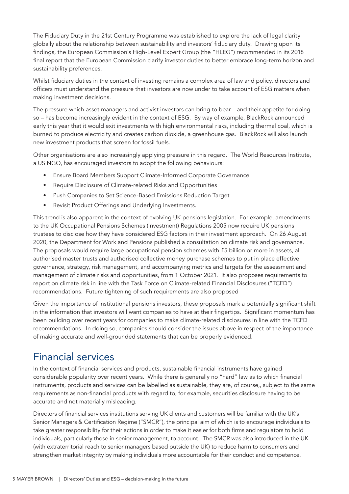The Fiduciary Duty in the 21st Century Programme was established to explore the lack of legal clarity globally about the relationship between sustainability and investors' fiduciary duty. Drawing upon its findings, the European Commission's High-Level Expert Group (the "HLEG") recommended in its 2018 final report that the European Commission clarify investor duties to better embrace long-term horizon and sustainability preferences.

Whilst fiduciary duties in the context of investing remains a complex area of law and policy, directors and officers must understand the pressure that investors are now under to take account of ESG matters when making investment decisions.

The pressure which asset managers and activist investors can bring to bear – and their appetite for doing so – has become increasingly evident in the context of ESG. By way of example, BlackRock announced early this year that it would exit investments with high environmental risks, including thermal coal, which is burned to produce electricity and creates carbon dioxide, a greenhouse gas. BlackRock will also launch new investment products that screen for fossil fuels.

Other organisations are also increasingly applying pressure in this regard. The World Resources Institute, a US NGO, has encouraged investors to adopt the following behaviours:

- Ensure Board Members Support Climate-Informed Corporate Governance
- Require Disclosure of Climate-related Risks and Opportunities
- Push Companies to Set Science-Based Emissions Reduction Target
- Revisit Product Offerings and Underlying Investments.

This trend is also apparent in the context of evolving UK pensions legislation. For example, amendments to the UK Occupational Pensions Schemes (Investment) Regulations 2005 now require UK pensions trustees to disclose how they have considered ESG factors in their investment approach. On 26 August 2020, the Department for Work and Pensions published a consultation on climate risk and governance. The proposals would require large occupational pension schemes with £5 billion or more in assets, all authorised master trusts and authorised collective money purchase schemes to put in place effective governance, strategy, risk management, and accompanying metrics and targets for the assessment and management of climate risks and opportunities, from 1 October 2021. It also proposes requirements to report on climate risk in line with the Task Force on Climate-related Financial Disclosures ("TCFD") recommendations. Future tightening of such requirements are also proposed

Given the importance of institutional pensions investors, these proposals mark a potentially significant shift in the information that investors will want companies to have at their fingertips. Significant momentum has been building over recent years for companies to make climate-related disclosures in line with the TCFD recommendations. In doing so, companies should consider the issues above in respect of the importance of making accurate and well-grounded statements that can be properly evidenced.

#### Financial services

In the context of financial services and products, sustainable financial instruments have gained considerable popularity over recent years. While there is generally no "hard" law as to which financial instruments, products and services can be labelled as sustainable, they are, of course,, subject to the same requirements as non-financial products with regard to, for example, securities disclosure having to be accurate and not materially misleading.

Directors of financial services institutions serving UK clients and customers will be familiar with the UK's Senior Managers & Certification Regime ("SMCR"), the principal aim of which is to encourage individuals to take greater responsibility for their actions in order to make it easier for both firms and regulators to hold individuals, particularly those in senior management, to account. The SMCR was also introduced in the UK (with extraterritorial reach to senior managers based outside the UK) to reduce harm to consumers and strengthen market integrity by making individuals more accountable for their conduct and competence.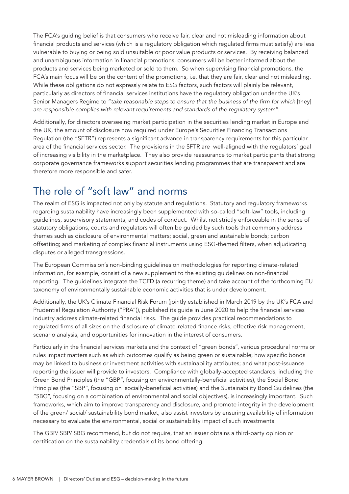The FCA's guiding belief is that consumers who receive fair, clear and not misleading information about financial products and services (which is a regulatory obligation which regulated firms must satisfy) are less vulnerable to buying or being sold unsuitable or poor value products or services. By receiving balanced and unambiguous information in financial promotions, consumers will be better informed about the products and services being marketed or sold to them. So when supervising financial promotions, the FCA's main focus will be on the content of the promotions, i.e. that they are fair, clear and not misleading. While these obligations do not expressly relate to ESG factors, such factors will plainly be relevant, particularly as directors of financial services institutions have the regulatory obligation under the UK's Senior Managers Regime to "*take reasonable steps to ensure that the business of the firm for which* [they] *are responsible complies with relevant requirements and standards of the regulatory system*".

Additionally, for directors overseeing market participation in the securities lending market in Europe and the UK, the amount of disclosure now required under Europe's Securities Financing Transactions Regulation (the "SFTR") represents a significant advance in transparency requirements for this particular area of the financial services sector. The provisions in the SFTR are well-aligned with the regulators' goal of increasing visibility in the marketplace. They also provide reassurance to market participants that strong corporate governance frameworks support securities lending programmes that are transparent and are therefore more responsible and safer.

## The role of "soft law" and norms

The realm of ESG is impacted not only by statute and regulations. Statutory and regulatory frameworks regarding sustainability have increasingly been supplemented with so-called "soft-law" tools, including guidelines, supervisory statements, and codes of conduct. Whilst not strictly enforceable in the sense of statutory obligations, courts and regulators will often be guided by such tools that commonly address themes such as disclosure of environmental matters; social, green and sustainable bonds; carbon offsetting; and marketing of complex financial instruments using ESG-themed filters, when adjudicating disputes or alleged transgressions.

The European Commission's non-binding guidelines on methodologies for reporting climate-related information, for example, consist of a new supplement to the existing guidelines on non-financial reporting. The guidelines integrate the TCFD (a recurring theme) and take account of the forthcoming EU taxonomy of environmentally sustainable economic activities that is under development.

Additionally, the UK's Climate Financial Risk Forum (jointly established in March 2019 by the UK's FCA and Prudential Regulation Authority ("PRA")), published its guide in June 2020 to help the financial services industry address climate-related financial risks. The guide provides practical recommendations to regulated firms of all sizes on the disclosure of climate-related finance risks, effective risk management, scenario analysis, and opportunities for innovation in the interest of consumers.

Particularly in the financial services markets and the context of "green bonds", various procedural norms or rules impact matters such as which outcomes qualify as being green or sustainable; how specific bonds may be linked to business or investment activities with sustainability attributes; and what post-issuance reporting the issuer will provide to investors. Compliance with globally-accepted standards, including the Green Bond Principles (the "GBP", focusing on environmentally-beneficial activities), the Social Bond Principles (the "SBP", focusing on socially-beneficial activities) and the Sustainability Bond Guidelines (the "SBG", focusing on a combination of environmental and social objectives), is increasingly important. Such frameworks, which aim to improve transparency and disclosure, and promote integrity in the development of the green/ social/ sustainability bond market, also assist investors by ensuring availability of information necessary to evaluate the environmental, social or sustainability impact of such investments.

The GBP/ SBP/ SBG recommend, but do not require, that an issuer obtains a third-party opinion or certification on the sustainability credentials of its bond offering.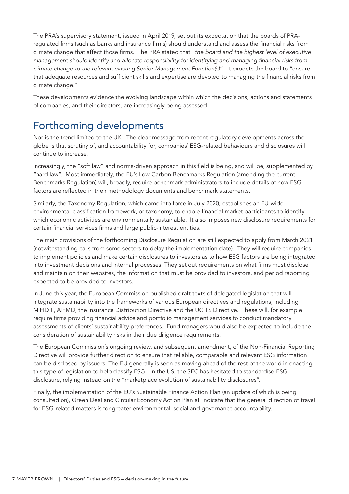The PRA's supervisory statement, issued in April 2019, set out its expectation that the boards of PRAregulated firms (such as banks and insurance firms) should understand and assess the financial risks from climate change that affect those firms. The PRA stated that "*the board and the highest level of executive management should identify and allocate responsibility for identifying and managing financial risks from climate change to the relevant existing Senior Management Function(s)*". It expects the board to "ensure that adequate resources and sufficient skills and expertise are devoted to managing the financial risks from climate change."

These developments evidence the evolving landscape within which the decisions, actions and statements of companies, and their directors, are increasingly being assessed.

#### Forthcoming developments

Nor is the trend limited to the UK. The clear message from recent regulatory developments across the globe is that scrutiny of, and accountability for, companies' ESG-related behaviours and disclosures will continue to increase.

Increasingly, the "soft law" and norms-driven approach in this field is being, and will be, supplemented by "hard law". Most immediately, the EU's Low Carbon Benchmarks Regulation (amending the current Benchmarks Regulation) will, broadly, require benchmark administrators to include details of how ESG factors are reflected in their methodology documents and benchmark statements.

Similarly, the Taxonomy Regulation, which came into force in July 2020, establishes an EU-wide environmental classification framework, or taxonomy, to enable financial market participants to identify which economic activities are environmentally sustainable. It also imposes new disclosure requirements for certain financial services firms and large public-interest entities.

The main provisions of the forthcoming Disclosure Regulation are still expected to apply from March 2021 (notwithstanding calls from some sectors to delay the implementation date). They will require companies to implement policies and make certain disclosures to investors as to how ESG factors are being integrated into investment decisions and internal processes. They set out requirements on what firms must disclose and maintain on their websites, the information that must be provided to investors, and period reporting expected to be provided to investors.

In June this year, the European Commission published draft texts of delegated legislation that will integrate sustainability into the frameworks of various European directives and regulations, including MiFID II, AIFMD, the Insurance Distribution Directive and the UCITS Directive. These will, for example require firms providing financial advice and portfolio management services to conduct mandatory assessments of clients' sustainability preferences. Fund managers would also be expected to include the consideration of sustainability risks in their due diligence requirements.

The European Commission's ongoing review, and subsequent amendment, of the Non-Financial Reporting Directive will provide further direction to ensure that reliable, comparable and relevant ESG information can be disclosed by issuers. The EU generally is seen as moving ahead of the rest of the world in enacting this type of legislation to help classify ESG - in the US, the SEC has hesitated to standardise ESG disclosure, relying instead on the "marketplace evolution of sustainability disclosures".

Finally, the implementation of the EU's Sustainable Finance Action Plan (an update of which is being consulted on), Green Deal and Circular Economy Action Plan all indicate that the general direction of travel for ESG-related matters is for greater environmental, social and governance accountability.